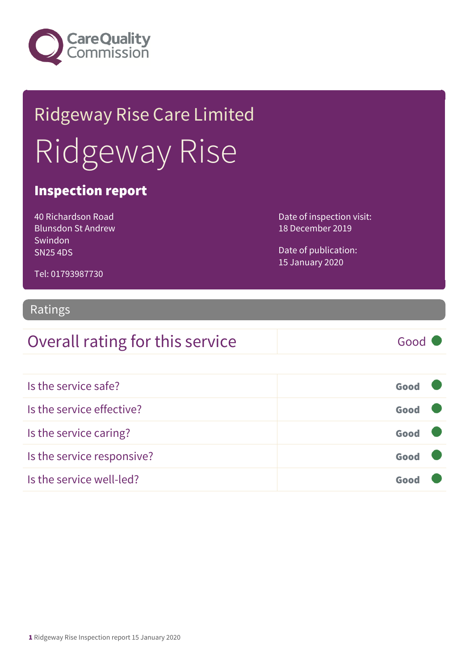

# Ridgeway Rise Care Limited Ridgeway Rise

### Inspection report

40 Richardson Road Blunsdon St Andrew Swindon SN25 4DS

Date of inspection visit: 18 December 2019

Date of publication: 15 January 2020

Tel: 01793987730

#### Ratings

### Overall rating for this service Good

| Is the service safe?       | Good |  |
|----------------------------|------|--|
| Is the service effective?  | Good |  |
| Is the service caring?     | Good |  |
| Is the service responsive? | Good |  |
| Is the service well-led?   | Goo  |  |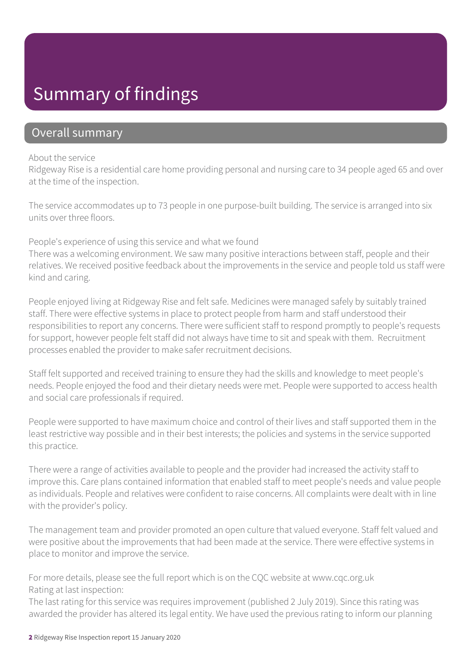### Summary of findings

### Overall summary

#### About the service

Ridgeway Rise is a residential care home providing personal and nursing care to 34 people aged 65 and over at the time of the inspection.

The service accommodates up to 73 people in one purpose-built building. The service is arranged into six units over three floors.

#### People's experience of using this service and what we found

There was a welcoming environment. We saw many positive interactions between staff, people and their relatives. We received positive feedback about the improvements in the service and people told us staff were kind and caring.

People enjoyed living at Ridgeway Rise and felt safe. Medicines were managed safely by suitably trained staff. There were effective systems in place to protect people from harm and staff understood their responsibilities to report any concerns. There were sufficient staff to respond promptly to people's requests for support, however people felt staff did not always have time to sit and speak with them. Recruitment processes enabled the provider to make safer recruitment decisions.

Staff felt supported and received training to ensure they had the skills and knowledge to meet people's needs. People enjoyed the food and their dietary needs were met. People were supported to access health and social care professionals if required.

People were supported to have maximum choice and control of their lives and staff supported them in the least restrictive way possible and in their best interests; the policies and systems in the service supported this practice.

There were a range of activities available to people and the provider had increased the activity staff to improve this. Care plans contained information that enabled staff to meet people's needs and value people as individuals. People and relatives were confident to raise concerns. All complaints were dealt with in line with the provider's policy.

The management team and provider promoted an open culture that valued everyone. Staff felt valued and were positive about the improvements that had been made at the service. There were effective systems in place to monitor and improve the service.

For more details, please see the full report which is on the CQC website at www.cqc.org.uk Rating at last inspection:

The last rating for this service was requires improvement (published 2 July 2019). Since this rating was awarded the provider has altered its legal entity. We have used the previous rating to inform our planning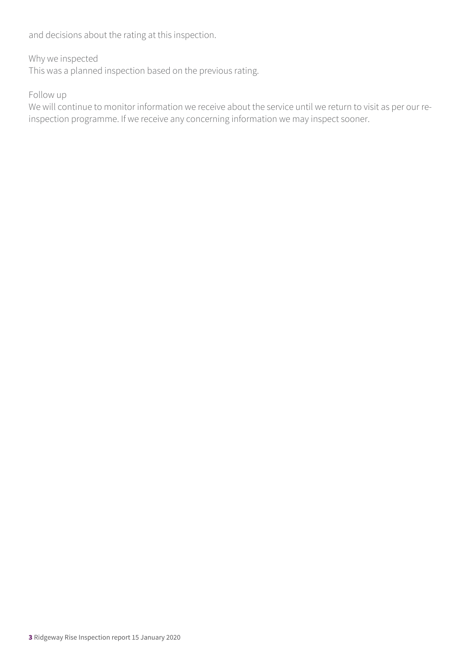and decisions about the rating at this inspection.

#### Why we inspected

This was a planned inspection based on the previous rating.

#### Follow up

We will continue to monitor information we receive about the service until we return to visit as per our reinspection programme. If we receive any concerning information we may inspect sooner.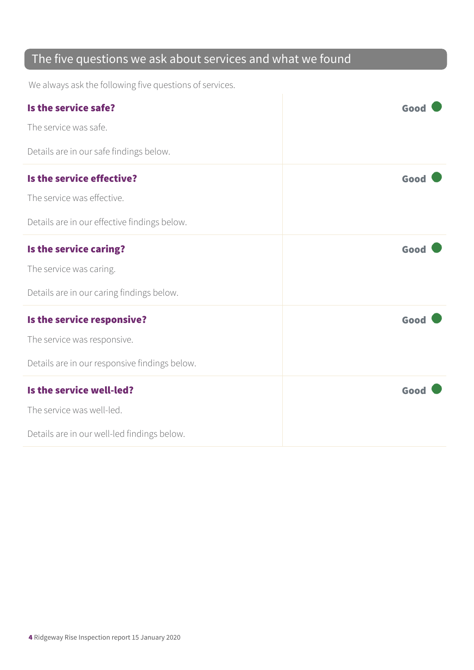### The five questions we ask about services and what we found

We always ask the following five questions of services.

| Is the service safe?                          | Good |
|-----------------------------------------------|------|
| The service was safe.                         |      |
| Details are in our safe findings below.       |      |
| Is the service effective?                     | Good |
| The service was effective.                    |      |
| Details are in our effective findings below.  |      |
| Is the service caring?                        | Good |
| The service was caring.                       |      |
| Details are in our caring findings below.     |      |
| Is the service responsive?                    | Good |
| The service was responsive.                   |      |
| Details are in our responsive findings below. |      |
| Is the service well-led?                      | Good |
| The service was well-led.                     |      |
| Details are in our well-led findings below.   |      |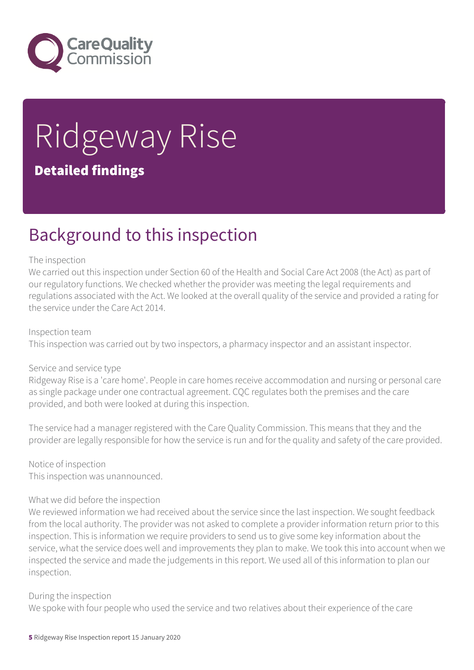

# Ridgeway Rise Detailed findings

### Background to this inspection

#### The inspection

We carried out this inspection under Section 60 of the Health and Social Care Act 2008 (the Act) as part of our regulatory functions. We checked whether the provider was meeting the legal requirements and regulations associated with the Act. We looked at the overall quality of the service and provided a rating for the service under the Care Act 2014.

#### Inspection team

This inspection was carried out by two inspectors, a pharmacy inspector and an assistant inspector.

#### Service and service type

Ridgeway Rise is a 'care home'. People in care homes receive accommodation and nursing or personal care as single package under one contractual agreement. CQC regulates both the premises and the care provided, and both were looked at during this inspection.

The service had a manager registered with the Care Quality Commission. This means that they and the provider are legally responsible for how the service is run and for the quality and safety of the care provided.

Notice of inspection This inspection was unannounced.

#### What we did before the inspection

We reviewed information we had received about the service since the last inspection. We sought feedback from the local authority. The provider was not asked to complete a provider information return prior to this inspection. This is information we require providers to send us to give some key information about the service, what the service does well and improvements they plan to make. We took this into account when we inspected the service and made the judgements in this report. We used all of this information to plan our inspection.

#### During the inspection

We spoke with four people who used the service and two relatives about their experience of the care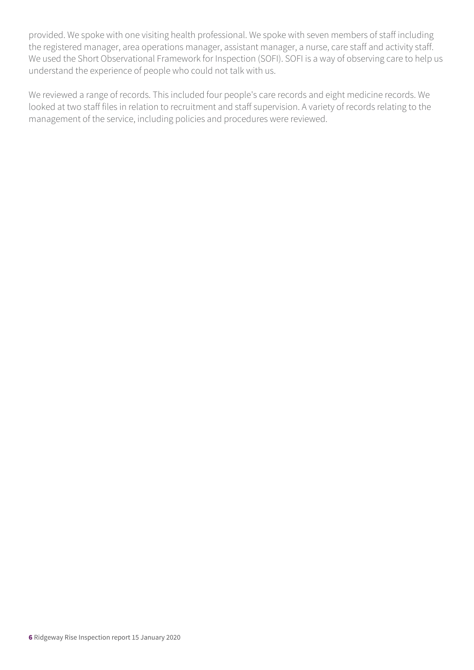provided. We spoke with one visiting health professional. We spoke with seven members of staff including the registered manager, area operations manager, assistant manager, a nurse, care staff and activity staff. We used the Short Observational Framework for Inspection (SOFI). SOFI is a way of observing care to help us understand the experience of people who could not talk with us.

We reviewed a range of records. This included four people's care records and eight medicine records. We looked at two staff files in relation to recruitment and staff supervision. A variety of records relating to the management of the service, including policies and procedures were reviewed.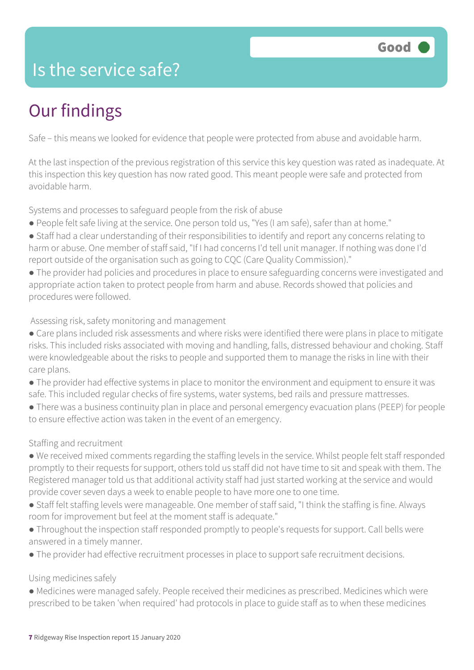### Is the service safe?

## Our findings

Safe – this means we looked for evidence that people were protected from abuse and avoidable harm.

At the last inspection of the previous registration of this service this key question was rated as inadequate. At this inspection this key question has now rated good. This meant people were safe and protected from avoidable harm.

Systems and processes to safeguard people from the risk of abuse

- People felt safe living at the service. One person told us, "Yes (I am safe), safer than at home."
- Staff had a clear understanding of their responsibilities to identify and report any concerns relating to harm or abuse. One member of staff said, "If I had concerns I'd tell unit manager. If nothing was done I'd report outside of the organisation such as going to CQC (Care Quality Commission)."
- The provider had policies and procedures in place to ensure safeguarding concerns were investigated and appropriate action taken to protect people from harm and abuse. Records showed that policies and procedures were followed.

#### Assessing risk, safety monitoring and management

- Care plans included risk assessments and where risks were identified there were plans in place to mitigate risks. This included risks associated with moving and handling, falls, distressed behaviour and choking. Staff were knowledgeable about the risks to people and supported them to manage the risks in line with their care plans.
- The provider had effective systems in place to monitor the environment and equipment to ensure it was safe. This included regular checks of fire systems, water systems, bed rails and pressure mattresses.
- There was a business continuity plan in place and personal emergency evacuation plans (PEEP) for people to ensure effective action was taken in the event of an emergency.

#### Staffing and recruitment

- We received mixed comments regarding the staffing levels in the service. Whilst people felt staff responded promptly to their requests for support, others told us staff did not have time to sit and speak with them. The Registered manager told us that additional activity staff had just started working at the service and would provide cover seven days a week to enable people to have more one to one time.
- Staff felt staffing levels were manageable. One member of staff said, "I think the staffing is fine. Always room for improvement but feel at the moment staff is adequate."
- Throughout the inspection staff responded promptly to people's requests for support. Call bells were answered in a timely manner.
- The provider had effective recruitment processes in place to support safe recruitment decisions.

#### Using medicines safely

● Medicines were managed safely. People received their medicines as prescribed. Medicines which were prescribed to be taken 'when required' had protocols in place to guide staff as to when these medicines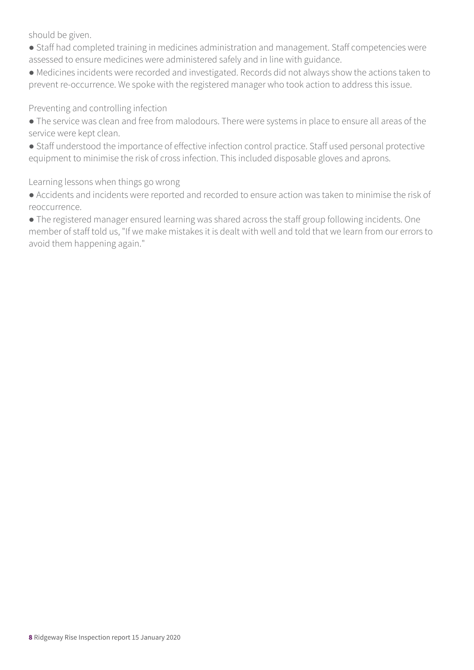should be given.

- Staff had completed training in medicines administration and management. Staff competencies were assessed to ensure medicines were administered safely and in line with guidance.
- Medicines incidents were recorded and investigated. Records did not always show the actions taken to prevent re-occurrence. We spoke with the registered manager who took action to address this issue.

Preventing and controlling infection

- The service was clean and free from malodours. There were systems in place to ensure all areas of the service were kept clean.
- Staff understood the importance of effective infection control practice. Staff used personal protective equipment to minimise the risk of cross infection. This included disposable gloves and aprons.

Learning lessons when things go wrong

● Accidents and incidents were reported and recorded to ensure action was taken to minimise the risk of reoccurrence.

● The registered manager ensured learning was shared across the staff group following incidents. One member of staff told us, "If we make mistakes it is dealt with well and told that we learn from our errors to avoid them happening again."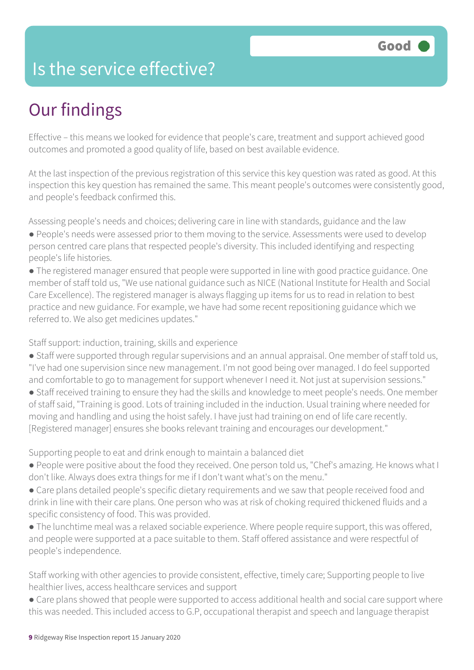### Is the service effective?

## Our findings

Effective – this means we looked for evidence that people's care, treatment and support achieved good outcomes and promoted a good quality of life, based on best available evidence.

At the last inspection of the previous registration of this service this key question was rated as good. At this inspection this key question has remained the same. This meant people's outcomes were consistently good, and people's feedback confirmed this.

Assessing people's needs and choices; delivering care in line with standards, guidance and the law

- People's needs were assessed prior to them moving to the service. Assessments were used to develop person centred care plans that respected people's diversity. This included identifying and respecting people's life histories.
- The registered manager ensured that people were supported in line with good practice guidance. One member of staff told us, "We use national guidance such as NICE (National Institute for Health and Social Care Excellence). The registered manager is always flagging up items for us to read in relation to best practice and new guidance. For example, we have had some recent repositioning guidance which we referred to. We also get medicines updates."

Staff support: induction, training, skills and experience

- Staff were supported through regular supervisions and an annual appraisal. One member of staff told us, "I've had one supervision since new management. I'm not good being over managed. I do feel supported and comfortable to go to management for support whenever I need it. Not just at supervision sessions."
- Staff received training to ensure they had the skills and knowledge to meet people's needs. One member of staff said, "Training is good. Lots of training included in the induction. Usual training where needed for moving and handling and using the hoist safely. I have just had training on end of life care recently. [Registered manager] ensures she books relevant training and encourages our development."

Supporting people to eat and drink enough to maintain a balanced diet

- People were positive about the food they received. One person told us, "Chef's amazing. He knows what I don't like. Always does extra things for me if I don't want what's on the menu."
- Care plans detailed people's specific dietary requirements and we saw that people received food and drink in line with their care plans. One person who was at risk of choking required thickened fluids and a specific consistency of food. This was provided.
- The lunchtime meal was a relaxed sociable experience. Where people require support, this was offered, and people were supported at a pace suitable to them. Staff offered assistance and were respectful of people's independence.

Staff working with other agencies to provide consistent, effective, timely care; Supporting people to live healthier lives, access healthcare services and support

• Care plans showed that people were supported to access additional health and social care support where this was needed. This included access to G.P, occupational therapist and speech and language therapist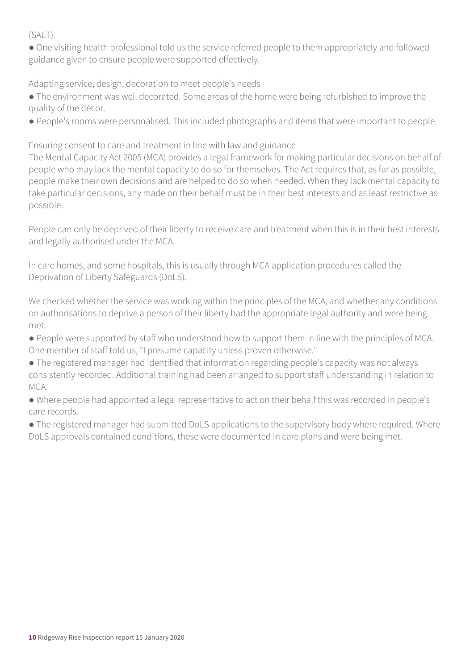(SALT).

● One visiting health professional told us the service referred people to them appropriately and followed guidance given to ensure people were supported effectively.

Adapting service, design, decoration to meet people's needs

● The environment was well decorated. Some areas of the home were being refurbished to improve the quality of the décor.

● People's rooms were personalised. This included photographs and items that were important to people.

Ensuring consent to care and treatment in line with law and guidance

The Mental Capacity Act 2005 (MCA) provides a legal framework for making particular decisions on behalf of people who may lack the mental capacity to do so for themselves. The Act requires that, as far as possible, people make their own decisions and are helped to do so when needed. When they lack mental capacity to take particular decisions, any made on their behalf must be in their best interests and as least restrictive as possible.

People can only be deprived of their liberty to receive care and treatment when this is in their best interests and legally authorised under the MCA.

In care homes, and some hospitals, this is usually through MCA application procedures called the Deprivation of Liberty Safeguards (DoLS).

We checked whether the service was working within the principles of the MCA, and whether any conditions on authorisations to deprive a person of their liberty had the appropriate legal authority and were being met.

- People were supported by staff who understood how to support them in line with the principles of MCA. One member of staff told us, "I presume capacity unless proven otherwise."
- The registered manager had identified that information regarding people's capacity was not always consistently recorded. Additional training had been arranged to support staff understanding in relation to MCA.
- Where people had appointed a legal representative to act on their behalf this was recorded in people's care records.

• The registered manager had submitted DoLS applications to the supervisory body where required. Where DoLS approvals contained conditions, these were documented in care plans and were being met.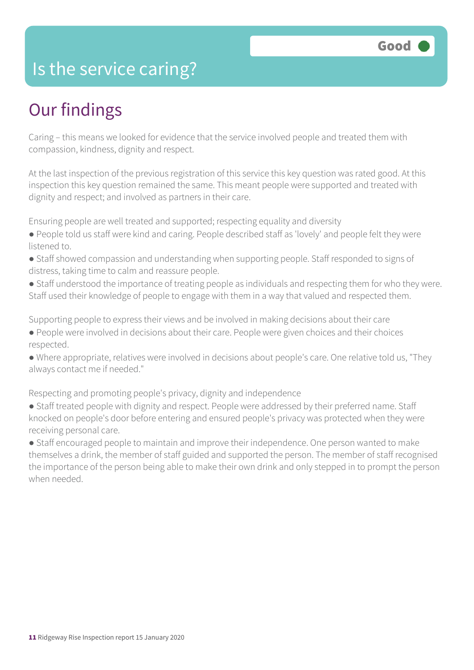### Is the service caring?

### Our findings

Caring – this means we looked for evidence that the service involved people and treated them with compassion, kindness, dignity and respect.

At the last inspection of the previous registration of this service this key question was rated good. At this inspection this key question remained the same. This meant people were supported and treated with dignity and respect; and involved as partners in their care.

Ensuring people are well treated and supported; respecting equality and diversity

- People told us staff were kind and caring. People described staff as 'lovely' and people felt they were listened to.
- Staff showed compassion and understanding when supporting people. Staff responded to signs of distress, taking time to calm and reassure people.
- Staff understood the importance of treating people as individuals and respecting them for who they were. Staff used their knowledge of people to engage with them in a way that valued and respected them.

Supporting people to express their views and be involved in making decisions about their care

- People were involved in decisions about their care. People were given choices and their choices respected.
- Where appropriate, relatives were involved in decisions about people's care. One relative told us, "They always contact me if needed."

Respecting and promoting people's privacy, dignity and independence

- Staff treated people with dignity and respect. People were addressed by their preferred name. Staff knocked on people's door before entering and ensured people's privacy was protected when they were receiving personal care.
- Staff encouraged people to maintain and improve their independence. One person wanted to make themselves a drink, the member of staff guided and supported the person. The member of staff recognised the importance of the person being able to make their own drink and only stepped in to prompt the person when needed.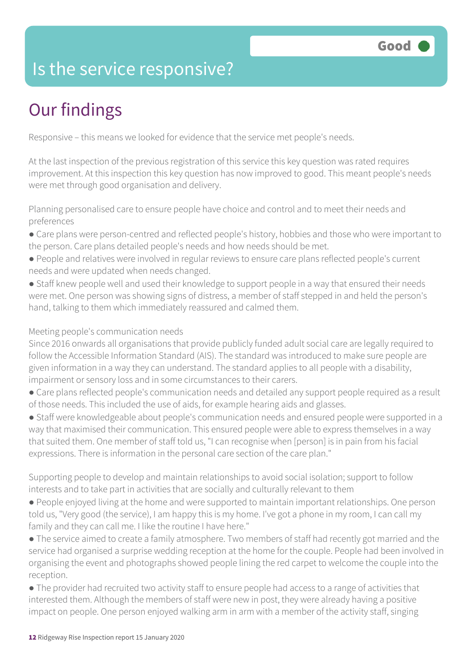### Is the service responsive?

## Our findings

Responsive – this means we looked for evidence that the service met people's needs.

At the last inspection of the previous registration of this service this key question was rated requires improvement. At this inspection this key question has now improved to good. This meant people's needs were met through good organisation and delivery.

Planning personalised care to ensure people have choice and control and to meet their needs and preferences

- Care plans were person-centred and reflected people's history, hobbies and those who were important to the person. Care plans detailed people's needs and how needs should be met.
- People and relatives were involved in regular reviews to ensure care plans reflected people's current needs and were updated when needs changed.
- Staff knew people well and used their knowledge to support people in a way that ensured their needs were met. One person was showing signs of distress, a member of staff stepped in and held the person's hand, talking to them which immediately reassured and calmed them.

#### Meeting people's communication needs

Since 2016 onwards all organisations that provide publicly funded adult social care are legally required to follow the Accessible Information Standard (AIS). The standard was introduced to make sure people are given information in a way they can understand. The standard applies to all people with a disability, impairment or sensory loss and in some circumstances to their carers.

- Care plans reflected people's communication needs and detailed any support people required as a result of those needs. This included the use of aids, for example hearing aids and glasses.
- Staff were knowledgeable about people's communication needs and ensured people were supported in a way that maximised their communication. This ensured people were able to express themselves in a way that suited them. One member of staff told us, "I can recognise when [person] is in pain from his facial expressions. There is information in the personal care section of the care plan."

Supporting people to develop and maintain relationships to avoid social isolation; support to follow interests and to take part in activities that are socially and culturally relevant to them

- People enjoyed living at the home and were supported to maintain important relationships. One person told us, "Very good (the service), I am happy this is my home. I've got a phone in my room, I can call my family and they can call me. I like the routine I have here."
- The service aimed to create a family atmosphere. Two members of staff had recently got married and the service had organised a surprise wedding reception at the home for the couple. People had been involved in organising the event and photographs showed people lining the red carpet to welcome the couple into the reception.
- The provider had recruited two activity staff to ensure people had access to a range of activities that interested them. Although the members of staff were new in post, they were already having a positive impact on people. One person enjoyed walking arm in arm with a member of the activity staff, singing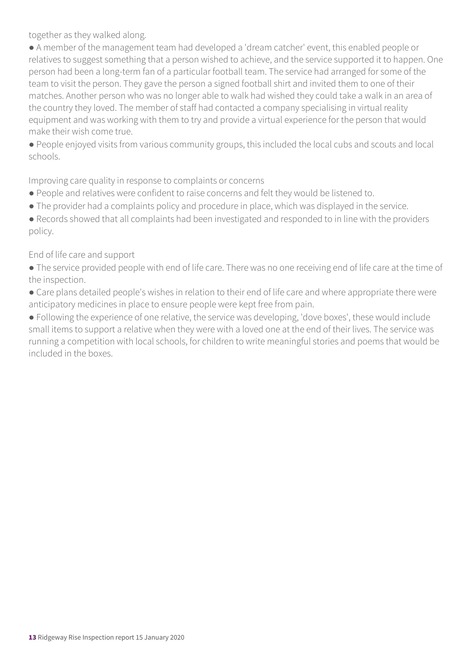together as they walked along.

● A member of the management team had developed a 'dream catcher' event, this enabled people or relatives to suggest something that a person wished to achieve, and the service supported it to happen. One person had been a long-term fan of a particular football team. The service had arranged for some of the team to visit the person. They gave the person a signed football shirt and invited them to one of their matches. Another person who was no longer able to walk had wished they could take a walk in an area of the country they loved. The member of staff had contacted a company specialising in virtual reality equipment and was working with them to try and provide a virtual experience for the person that would make their wish come true.

● People enjoyed visits from various community groups, this included the local cubs and scouts and local schools.

Improving care quality in response to complaints or concerns

- People and relatives were confident to raise concerns and felt they would be listened to.
- The provider had a complaints policy and procedure in place, which was displayed in the service.

● Records showed that all complaints had been investigated and responded to in line with the providers policy.

End of life care and support

● The service provided people with end of life care. There was no one receiving end of life care at the time of the inspection.

● Care plans detailed people's wishes in relation to their end of life care and where appropriate there were anticipatory medicines in place to ensure people were kept free from pain.

● Following the experience of one relative, the service was developing, 'dove boxes', these would include small items to support a relative when they were with a loved one at the end of their lives. The service was running a competition with local schools, for children to write meaningful stories and poems that would be included in the boxes.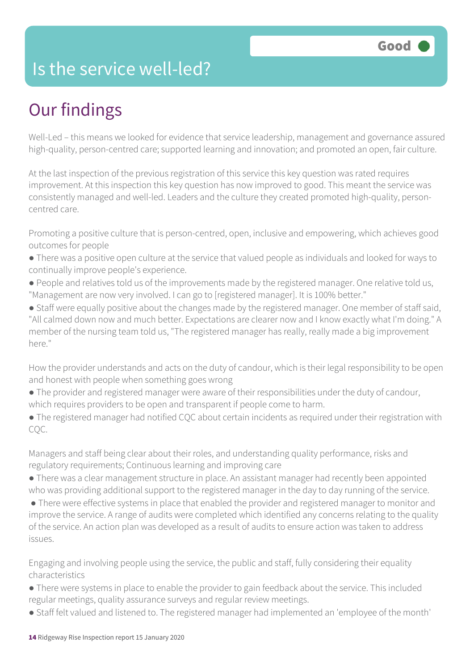### Is the service well-led?

## Our findings

Well-Led – this means we looked for evidence that service leadership, management and governance assured high-quality, person-centred care; supported learning and innovation; and promoted an open, fair culture.

At the last inspection of the previous registration of this service this key question was rated requires improvement. At this inspection this key question has now improved to good. This meant the service was consistently managed and well-led. Leaders and the culture they created promoted high-quality, personcentred care.

Promoting a positive culture that is person-centred, open, inclusive and empowering, which achieves good outcomes for people

- There was a positive open culture at the service that valued people as individuals and looked for ways to continually improve people's experience.
- People and relatives told us of the improvements made by the registered manager. One relative told us, "Management are now very involved. I can go to [registered manager]. It is 100% better."
- Staff were equally positive about the changes made by the registered manager. One member of staff said, "All calmed down now and much better. Expectations are clearer now and I know exactly what I'm doing." A member of the nursing team told us, "The registered manager has really, really made a big improvement here."

How the provider understands and acts on the duty of candour, which is their legal responsibility to be open and honest with people when something goes wrong

- The provider and registered manager were aware of their responsibilities under the duty of candour, which requires providers to be open and transparent if people come to harm.
- The registered manager had notified CQC about certain incidents as required under their registration with CQC.

Managers and staff being clear about their roles, and understanding quality performance, risks and regulatory requirements; Continuous learning and improving care

- There was a clear management structure in place. An assistant manager had recently been appointed who was providing additional support to the registered manager in the day to day running of the service.
- There were effective systems in place that enabled the provider and registered manager to monitor and improve the service. A range of audits were completed which identified any concerns relating to the quality of the service. An action plan was developed as a result of audits to ensure action was taken to address issues.

Engaging and involving people using the service, the public and staff, fully considering their equality characteristics

- There were systems in place to enable the provider to gain feedback about the service. This included regular meetings, quality assurance surveys and regular review meetings.
- Staff felt valued and listened to. The registered manager had implemented an 'employee of the month'